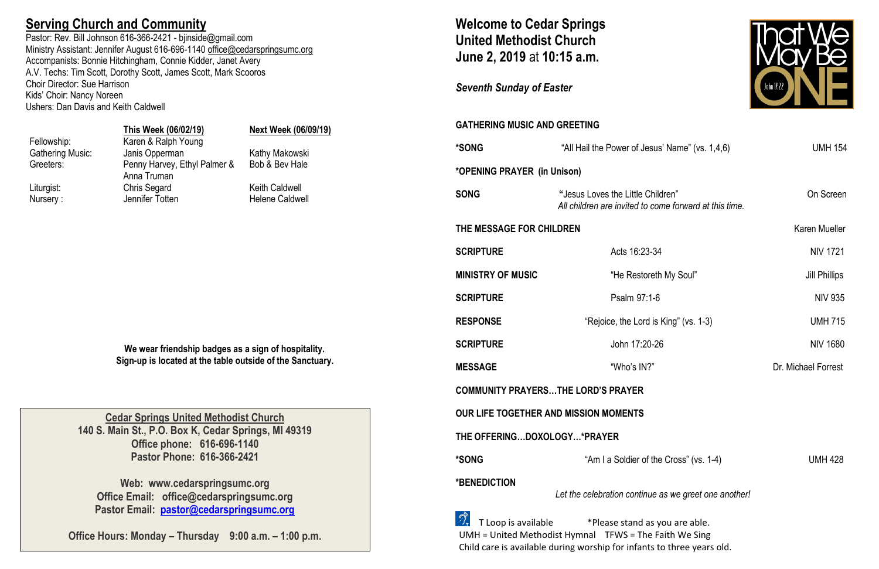## **Serving Church and Community**

Pastor: Rev. Bill Johnson 616-366-2421 - bjinside@gmail.com Ministry Assistant: Jennifer August 616-696-1140 [office@cedarspringsumc.org](mailto:office@cedarspringsumc.org) Accompanists: Bonnie Hitchingham, Connie Kidder, Janet Avery A.V. Techs: Tim Scott, Dorothy Scott, James Scott, Mark Scooros Choir Director: Sue Harrison Kids' Choir: Nancy Noreen Ushers: Dan Davis and Keith Caldwell

### **This Week (06/02/19) Next Week (06/09/19)**

Fellowship: Karen & Ralph Young Gathering Music: Janis Opperman Kathy Makowski

Greeters: Penny Harvey, Ethyl Palmer & Anna Truman Liturgist: Chris Segard Keith Caldwell Nursery : Sale of Jennifer Totten Helene Caldwell Nursery :

Bob & Bev Hale

**We wear friendship badges as a sign of hospitality. Sign-up is located at the table outside of the Sanctuary.**

## **Welcome to Cedar Springs United Methodist Church June 2, 2019** at **10:15 a.m.**

### *Seventh Sunday of Easter*

### **GATHERING MUSIC AND GREETING**

 $\mathbb{Z}_7$  T Loop is available  $\mathbb{Z}^*$ Please stand as you are able. UMH = United Methodist Hymnal TFWS = The Faith We Sing Child care is available during worship for infants to three years old.



| *SONG                           | "All Hail the Power of Jesus' Name" (vs. 1,4,6)                                             | <b>UMH 154</b>       |  |  |
|---------------------------------|---------------------------------------------------------------------------------------------|----------------------|--|--|
| *OPENING PRAYER (in Unison)     |                                                                                             |                      |  |  |
| <b>SONG</b>                     | "Jesus Loves the Little Children"<br>All children are invited to come forward at this time. | On Screen            |  |  |
| <b>THE MESSAGE FOR CHILDREN</b> |                                                                                             | Karen Mueller        |  |  |
| <b>SCRIPTURE</b>                | Acts 16:23-34                                                                               | <b>NIV 1721</b>      |  |  |
| <b>MINISTRY OF MUSIC</b>        | "He Restoreth My Soul"                                                                      | <b>Jill Phillips</b> |  |  |
| <b>SCRIPTURE</b>                | Psalm 97:1-6                                                                                | <b>NIV 935</b>       |  |  |
| <b>RESPONSE</b>                 | "Rejoice, the Lord is King" (vs. 1-3)                                                       | <b>UMH 715</b>       |  |  |
| <b>SCRIPTURE</b>                | John 17:20-26                                                                               | NIV 1680             |  |  |
| <b>MESSAGE</b>                  | "Who's IN?"                                                                                 | Dr. Michael Forrest  |  |  |
|                                 |                                                                                             |                      |  |  |

of the Cross" (vs. 1-4) UMH 428

| *SONG                                        | "All Hail the Power of Je                                |
|----------------------------------------------|----------------------------------------------------------|
| <i><b>*OPENING PRAYER (in Unison)</b></i>    |                                                          |
| <b>SONG</b>                                  | "Jesus Loves the Little (<br>All children are invited to |
| THE MESSAGE FOR CHILDREN                     |                                                          |
| <b>SCRIPTURE</b>                             | Acts 16:23                                               |
| <b>MINISTRY OF MUSIC</b>                     | "He Restc                                                |
| <b>SCRIPTURE</b>                             | Psalm 97                                                 |
| <b>RESPONSE</b>                              | "Rejoice, the Lor                                        |
| <b>SCRIPTURE</b>                             | John 17:2                                                |
| <b>MESSAGE</b>                               | "Who's IN                                                |
| <b>COMMUNITY PRAYERSTHE LORD'S PRAYER</b>    |                                                          |
| <b>OUR LIFE TOGETHER AND MISSION MOMENTS</b> |                                                          |
| THE OFFERINGDOXOLOGY*PRAYER                  |                                                          |
| *SONG                                        | "Am I a Soldier o                                        |
| *BENEDICTION                                 | Let the celebration contin                               |
| .<br>Eta errita errettatak                   |                                                          |

*Let the celebration continue as we greet one another!*

**Cedar Springs United Methodist Church 140 S. Main St., P.O. Box K, Cedar Springs, MI 49319 Office phone: 616-696-1140 Pastor Phone: 616-366-2421**

**Web: www.cedarspringsumc.org Office Email: office@cedarspringsumc.org Pastor Email: [pastor@cedarspringsumc.org](mailto:pastor@cedarspringsumc.org)**

**Office Hours: Monday – Thursday 9:00 a.m. – 1:00 p.m.**